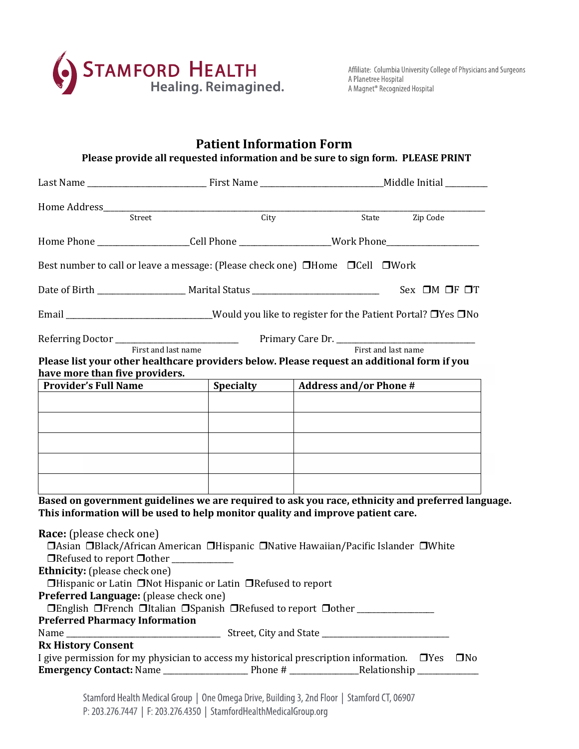

## **Patient Information Form Please provide all requested information and be sure to sign form. PLEASE PRINT**  Last Name \_\_\_\_\_\_\_\_\_\_\_\_\_\_\_\_\_\_\_\_\_\_\_\_\_\_\_\_\_\_\_ First Name \_\_\_\_\_\_\_\_\_\_\_\_\_\_\_\_\_\_\_\_\_\_\_\_\_\_\_\_\_\_\_\_Middle Initial \_\_\_\_\_\_\_\_\_\_\_ Home Address\_\_\_\_\_\_\_\_\_\_\_\_\_\_\_\_\_\_\_\_\_\_\_\_\_\_\_\_\_\_\_\_\_\_\_\_\_\_\_\_\_\_\_\_\_\_\_\_\_\_\_\_\_\_\_\_\_\_\_\_\_\_\_\_\_\_\_\_\_\_\_\_\_\_\_\_\_\_\_\_\_\_\_\_\_\_\_\_\_\_\_\_\_\_\_\_\_\_\_ State Zip Code

Home Phone \_\_\_\_\_\_\_\_\_\_\_\_\_\_\_\_\_\_\_\_\_\_\_\_Cell Phone \_\_\_\_\_\_\_\_\_\_\_\_\_\_\_\_\_\_\_\_\_\_\_\_Work Phone\_\_\_\_\_\_\_\_\_\_\_\_\_\_\_\_\_\_\_\_\_\_\_\_

Best number to call or leave a message: (Please check one)  $\Box$  Home  $\Box$  Cell  $\Box$  Work

| Date of Birth | Marital Status | Sex | ıм | ٦F |  |
|---------------|----------------|-----|----|----|--|
|               |                |     |    |    |  |

Email \_\_\_\_\_\_\_\_\_\_\_\_\_\_\_\_\_\_\_\_\_\_\_\_\_\_\_\_\_Would you like to register for the Patient Portal? OYes ONo

Referring Doctor \_\_\_\_\_\_\_\_\_\_\_\_\_\_\_\_\_\_\_\_\_\_\_\_\_\_\_\_\_\_\_\_ Primary Care Dr. \_\_\_\_\_\_\_\_\_\_\_\_\_\_\_\_\_\_\_\_\_\_\_\_\_\_\_\_\_\_\_\_\_\_\_\_ First and last name **First** and last name **First** and last name

**Please list your other healthcare providers below. Please request an additional form if you have more than five providers.**

| <b>Provider's Full Name</b> | <b>Specialty</b> | <b>Address and/or Phone #</b> |
|-----------------------------|------------------|-------------------------------|
|                             |                  |                               |
|                             |                  |                               |
|                             |                  |                               |
|                             |                  |                               |
|                             |                  |                               |
|                             |                  |                               |
|                             |                  |                               |
|                             |                  |                               |

**Based on government guidelines we are required to ask you race, ethnicity and preferred language. This information will be used to help monitor quality and improve patient care.**

| <b>Race:</b> (please check one)                                                                           |  |
|-----------------------------------------------------------------------------------------------------------|--|
| <b>DAsian DBlack/African American DHispanic DNative Hawaiian/Pacific Islander DWhite</b>                  |  |
| □Refused to report □ other ___________                                                                    |  |
| <b>Ethnicity:</b> (please check one)                                                                      |  |
| <b><i>Ohispanic or Latin ONot Hispanic or Latin ORefused to report</i></b>                                |  |
| <b>Preferred Language:</b> (please check one)                                                             |  |
| <b>Older I</b> English Offench Oltalian Ospanish ORefused to report Oother                                |  |
| <b>Preferred Pharmacy Information</b>                                                                     |  |
|                                                                                                           |  |
| <b>Rx History Consent</b>                                                                                 |  |
| I give permission for my physician to access my historical prescription information. $\Box$ Yes $\Box$ No |  |
|                                                                                                           |  |
|                                                                                                           |  |

Stamford Health Medical Group | One Omega Drive, Building 3, 2nd Floor | Stamford CT, 06907 P: 203.276.7447 | F: 203.276.4350 | StamfordHealthMedicalGroup.org